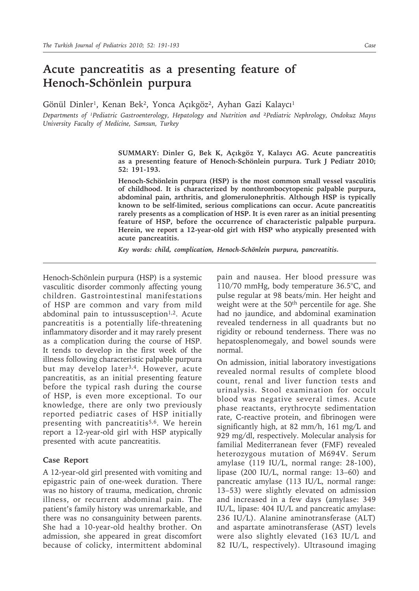## **Acute pancreatitis as a presenting feature of Henoch-Schönlein purpura**

Gönül Dinler<sup>1</sup>, Kenan Bek<sup>2</sup>, Yonca Açıkgöz<sup>2</sup>, Ayhan Gazi Kalaycı<sup>1</sup>

*Departments of ¹Pediatric Gastroenterology, Hepatology and Nutrition and ²Pediatric Nephrology, Ondokuz Mayıs University Faculty of Medicine, Samsun, Turkey*

> **SUMMARY: Dinler G, Bek K, Açıkgöz Y, Kalaycı AG. Acute pancreatitis as a presenting feature of Henoch-Schönlein purpura. Turk J Pediatr 2010; 52: 191-193.**

> **Henoch-Schönlein purpura (HSP) is the most common small vessel vasculitis of childhood. It is characterized by nonthrombocytopenic palpable purpura, abdominal pain, arthritis, and glomerulonephritis. Although HSP is typically known to be self-limited, serious complications can occur. Acute pancreatitis rarely presents as a complication of HSP. It is even rarer as an initial presenting feature of HSP, before the occurrence of characteristic palpable purpura. Herein, we report a 12-year-old girl with HSP who atypically presented with acute pancreatitis.**

*Key words: child, complication, Henoch-Schönlein purpura, pancreatitis.* 

Henoch-Schönlein purpura (HSP) is a systemic vasculitic disorder commonly affecting young children. Gastrointestinal manifestations of HSP are common and vary from mild abdominal pain to intussusception $1,2$ . Acute pancreatitis is a potentially life-threatening inflammatory disorder and it may rarely present as a complication during the course of HSP. It tends to develop in the first week of the illness following characteristic palpable purpura but may develop later<sup>3,4</sup>. However, acute pancreatitis, as an initial presenting feature before the typical rash during the course of HSP, is even more exceptional. To our knowledge, there are only two previously reported pediatric cases of HSP initially presenting with pancreatitis<sup>5,6</sup>. We herein report a 12-year-old girl with HSP atypically presented with acute pancreatitis.

## **Case Report**

A 12-year-old girl presented with vomiting and epigastric pain of one-week duration. There was no history of trauma, medication, chronic illness, or recurrent abdominal pain. The patient's family history was unremarkable, and there was no consanguinity between parents. She had a 10-year-old healthy brother. On admission, she appeared in great discomfort because of colicky, intermittent abdominal

pain and nausea. Her blood pressure was 110/70 mmHg, body temperature 36.5°C, and pulse regular at 98 beats/min. Her height and weight were at the 50<sup>th</sup> percentile for age. She had no jaundice, and abdominal examination revealed tenderness in all quadrants but no rigidity or rebound tenderness. There was no hepatosplenomegaly, and bowel sounds were normal.

On admission, initial laboratory investigations revealed normal results of complete blood count, renal and liver function tests and urinalysis. Stool examination for occult blood was negative several times. Acute phase reactants, erythrocyte sedimentation rate, C-reactive protein, and fibrinogen were significantly high, at 82 mm/h, 161 mg/L and 929 mg/dl, respectively. Molecular analysis for familial Mediterranean fever (FMF) revealed heterozygous mutation of M694V. Serum amylase (119 IU/L, normal range: 28-100), lipase (200 IU/L, normal range: 13–60) and pancreatic amylase (113 IU/L, normal range: 13–53) were slightly elevated on admission and increased in a few days (amylase: 349 IU/L, lipase: 404 IU/L and pancreatic amylase: 236 IU/L). Alanine aminotransferase (ALT) and aspartate aminotransferase (AST) levels were also slightly elevated (163 IU/L and 82 IU/L, respectively). Ultrasound imaging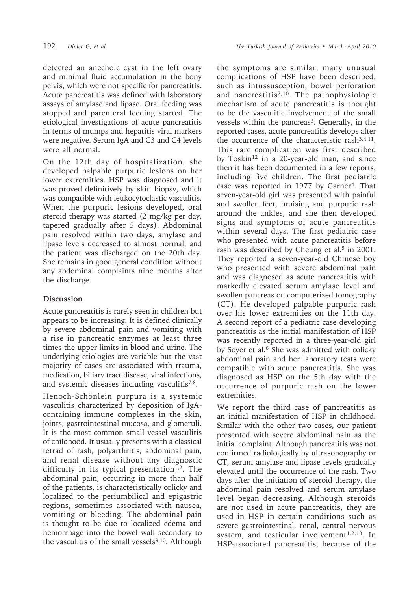detected an anechoic cyst in the left ovary and minimal fluid accumulation in the bony pelvis, which were not specific for pancreatitis. Acute pancreatitis was defined with laboratory assays of amylase and lipase. Oral feeding was stopped and parenteral feeding started. The etiological investigations of acute pancreatitis in terms of mumps and hepatitis viral markers were negative. Serum IgA and C3 and C4 levels were all normal.

On the 12th day of hospitalization, she developed palpable purpuric lesions on her lower extremities. HSP was diagnosed and it was proved definitively by skin biopsy, which was compatible with leukocytoclastic vasculitis. When the purpuric lesions developed, oral steroid therapy was started (2 mg/kg per day, tapered gradually after 5 days). Abdominal pain resolved within two days, amylase and lipase levels decreased to almost normal, and the patient was discharged on the 20th day. She remains in good general condition without any abdominal complaints nine months after the discharge.

## **Discussion**

Acute pancreatitis is rarely seen in children but appears to be increasing. It is defined clinically by severe abdominal pain and vomiting with a rise in pancreatic enzymes at least three times the upper limits in blood and urine. The underlying etiologies are variable but the vast majority of cases are associated with trauma, medication, biliary tract disease, viral infections, and systemic diseases including vasculitis<sup>7,8</sup>.

Henoch-Schönlein purpura is a systemic vasculitis characterized by deposition of IgAcontaining immune complexes in the skin, joints, gastrointestinal mucosa, and glomeruli. It is the most common small vessel vasculitis of childhood. It usually presents with a classical tetrad of rash, polyarthritis, abdominal pain, and renal disease without any diagnostic difficulty in its typical presentation<sup>1,2</sup>. The abdominal pain, occurring in more than half of the patients, is characteristically colicky and localized to the periumbilical and epigastric regions, sometimes associated with nausea, vomiting or bleeding. The abdominal pain is thought to be due to localized edema and hemorrhage into the bowel wall secondary to the vasculitis of the small vessels<sup>9,10</sup>. Although

the symptoms are similar, many unusual complications of HSP have been described, such as intussusception, bowel perforation and pancreatitis<sup>2,10</sup>. The pathophysiologic mechanism of acute pancreatitis is thought to be the vasculitic involvement of the small vessels within the pancreas<sup>3</sup>. Generally, in the reported cases, acute pancreatitis develops after the occurrence of the characteristic rash3,4,11. This rare complication was first described by Toskin<sup>12</sup> in a 20-year-old man, and since then it has been documented in a few reports, including five children. The first pediatric case was reported in 1977 by Garner4. That seven-year-old girl was presented with painful and swollen feet, bruising and purpuric rash around the ankles, and she then developed signs and symptoms of acute pancreatitis within several days. The first pediatric case who presented with acute pancreatitis before rash was described by Cheung et al.<sup>5</sup> in 2001. They reported a seven-year-old Chinese boy who presented with severe abdominal pain and was diagnosed as acute pancreatitis with markedly elevated serum amylase level and swollen pancreas on computerized tomography (CT). He developed palpable purpuric rash over his lower extremities on the 11th day. A second report of a pediatric case developing pancreatitis as the initial manifestation of HSP was recently reported in a three-year-old girl by Soyer et al.<sup>6</sup> She was admitted with colicky abdominal pain and her laboratory tests were compatible with acute pancreatitis. She was diagnosed as HSP on the 5th day with the occurrence of purpuric rash on the lower extremities.

We report the third case of pancreatitis as an initial manifestation of HSP in childhood. Similar with the other two cases, our patient presented with severe abdominal pain as the initial complaint. Although pancreatitis was not confirmed radiologically by ultrasonography or CT, serum amylase and lipase levels gradually elevated until the occurrence of the rash. Two days after the initiation of steroid therapy, the abdominal pain resolved and serum amylase level began decreasing. Although steroids are not used in acute pancreatitis, they are used in HSP in certain conditions such as severe gastrointestinal, renal, central nervous system, and testicular involvement<sup>1,2,13</sup>. In HSP-associated pancreatitis, because of the